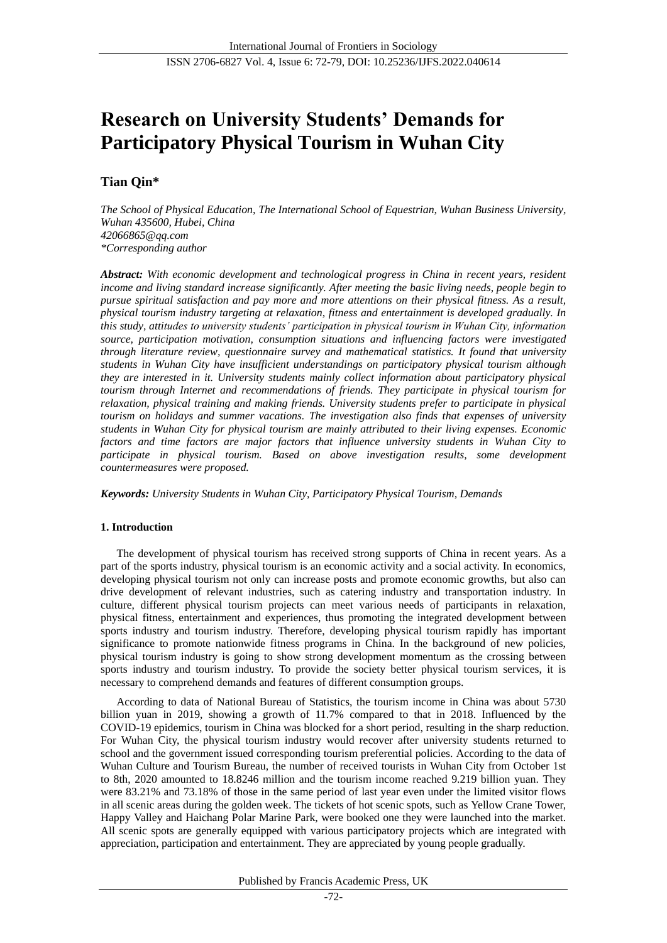# **Research on University Students' Demands for Participatory Physical Tourism in Wuhan City**

## **Tian Qin\***

*The School of Physical Education, The International School of Equestrian, Wuhan Business University, Wuhan 435600, Hubei, China 42066865@qq.com \*Corresponding author*

*Abstract: With economic development and technological progress in China in recent years, resident income and living standard increase significantly. After meeting the basic living needs, people begin to pursue spiritual satisfaction and pay more and more attentions on their physical fitness. As a result, physical tourism industry targeting at relaxation, fitness and entertainment is developed gradually. In this study, attitudes to university students' participation in physical tourism in Wuhan City, information source, participation motivation, consumption situations and influencing factors were investigated through literature review, questionnaire survey and mathematical statistics. It found that university students in Wuhan City have insufficient understandings on participatory physical tourism although they are interested in it. University students mainly collect information about participatory physical tourism through Internet and recommendations of friends. They participate in physical tourism for relaxation, physical training and making friends. University students prefer to participate in physical tourism on holidays and summer vacations. The investigation also finds that expenses of university students in Wuhan City for physical tourism are mainly attributed to their living expenses. Economic factors and time factors are major factors that influence university students in Wuhan City to participate in physical tourism. Based on above investigation results, some development countermeasures were proposed.*

*Keywords: University Students in Wuhan City, Participatory Physical Tourism, Demands*

## **1. Introduction**

The development of physical tourism has received strong supports of China in recent years. As a part of the sports industry, physical tourism is an economic activity and a social activity. In economics, developing physical tourism not only can increase posts and promote economic growths, but also can drive development of relevant industries, such as catering industry and transportation industry. In culture, different physical tourism projects can meet various needs of participants in relaxation, physical fitness, entertainment and experiences, thus promoting the integrated development between sports industry and tourism industry. Therefore, developing physical tourism rapidly has important significance to promote nationwide fitness programs in China. In the background of new policies, physical tourism industry is going to show strong development momentum as the crossing between sports industry and tourism industry. To provide the society better physical tourism services, it is necessary to comprehend demands and features of different consumption groups.

According to data of National Bureau of Statistics, the tourism income in China was about 5730 billion yuan in 2019, showing a growth of 11.7% compared to that in 2018. Influenced by the COVID-19 epidemics, tourism in China was blocked for a short period, resulting in the sharp reduction. For Wuhan City, the physical tourism industry would recover after university students returned to school and the government issued corresponding tourism preferential policies. According to the data of Wuhan Culture and Tourism Bureau, the number of received tourists in Wuhan City from October 1st to 8th, 2020 amounted to 18.8246 million and the tourism income reached 9.219 billion yuan. They were 83.21% and 73.18% of those in the same period of last year even under the limited visitor flows in all scenic areas during the golden week. The tickets of hot scenic spots, such as Yellow Crane Tower, Happy Valley and Haichang Polar Marine Park, were booked one they were launched into the market. All scenic spots are generally equipped with various participatory projects which are integrated with appreciation, participation and entertainment. They are appreciated by young people gradually.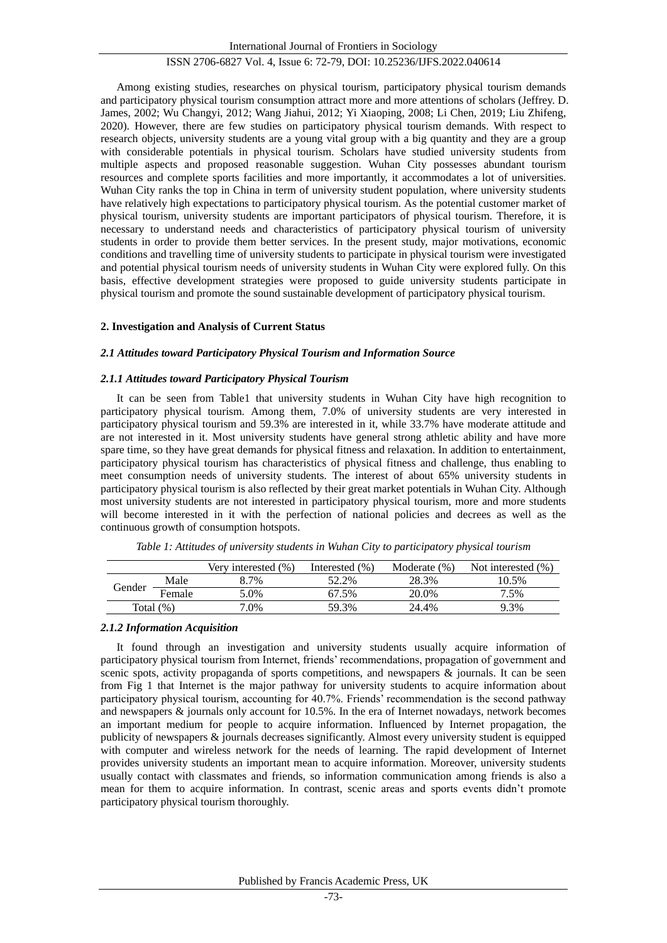Among existing studies, researches on physical tourism, participatory physical tourism demands and participatory physical tourism consumption attract more and more attentions of scholars (Jeffrey. D. James, 2002; Wu Changyi, 2012; Wang Jiahui, 2012; Yi Xiaoping, 2008; Li Chen, 2019; Liu Zhifeng, 2020). However, there are few studies on participatory physical tourism demands. With respect to research objects, university students are a young vital group with a big quantity and they are a group with considerable potentials in physical tourism. Scholars have studied university students from multiple aspects and proposed reasonable suggestion. Wuhan City possesses abundant tourism resources and complete sports facilities and more importantly, it accommodates a lot of universities. Wuhan City ranks the top in China in term of university student population, where university students have relatively high expectations to participatory physical tourism. As the potential customer market of physical tourism, university students are important participators of physical tourism. Therefore, it is necessary to understand needs and characteristics of participatory physical tourism of university students in order to provide them better services. In the present study, major motivations, economic conditions and travelling time of university students to participate in physical tourism were investigated and potential physical tourism needs of university students in Wuhan City were explored fully. On this basis, effective development strategies were proposed to guide university students participate in physical tourism and promote the sound sustainable development of participatory physical tourism.

#### **2. Investigation and Analysis of Current Status**

#### *2.1 Attitudes toward Participatory Physical Tourism and Information Source*

#### *2.1.1 Attitudes toward Participatory Physical Tourism*

It can be seen from Table1 that university students in Wuhan City have high recognition to participatory physical tourism. Among them, 7.0% of university students are very interested in participatory physical tourism and 59.3% are interested in it, while 33.7% have moderate attitude and are not interested in it. Most university students have general strong athletic ability and have more spare time, so they have great demands for physical fitness and relaxation. In addition to entertainment, participatory physical tourism has characteristics of physical fitness and challenge, thus enabling to meet consumption needs of university students. The interest of about 65% university students in participatory physical tourism is also reflected by their great market potentials in Wuhan City. Although most university students are not interested in participatory physical tourism, more and more students will become interested in it with the perfection of national policies and decrees as well as the continuous growth of consumption hotspots.

|              |        | Very interested $(\%)$ | Interested $(\% )$ | Moderate $(\%)$ | Not interested $(\% )$ |
|--------------|--------|------------------------|--------------------|-----------------|------------------------|
| Gender       | Male   | 8.7%                   | 52.2%              | 28.3%           | 10.5%                  |
|              | Female | 5.0%                   | 67.5%              | 20.0%           | 7.5%                   |
| Total $(\%)$ |        | $7.0\%$                | 59.3%              | 24.4%           | 9.3%                   |

*Table 1: Attitudes of university students in Wuhan City to participatory physical tourism*

#### *2.1.2 Information Acquisition*

It found through an investigation and university students usually acquire information of participatory physical tourism from Internet, friends' recommendations, propagation of government and scenic spots, activity propaganda of sports competitions, and newspapers & journals. It can be seen from Fig 1 that Internet is the major pathway for university students to acquire information about participatory physical tourism, accounting for 40.7%. Friends' recommendation is the second pathway and newspapers & journals only account for 10.5%. In the era of Internet nowadays, network becomes an important medium for people to acquire information. Influenced by Internet propagation, the publicity of newspapers & journals decreases significantly. Almost every university student is equipped with computer and wireless network for the needs of learning. The rapid development of Internet provides university students an important mean to acquire information. Moreover, university students usually contact with classmates and friends, so information communication among friends is also a mean for them to acquire information. In contrast, scenic areas and sports events didn't promote participatory physical tourism thoroughly.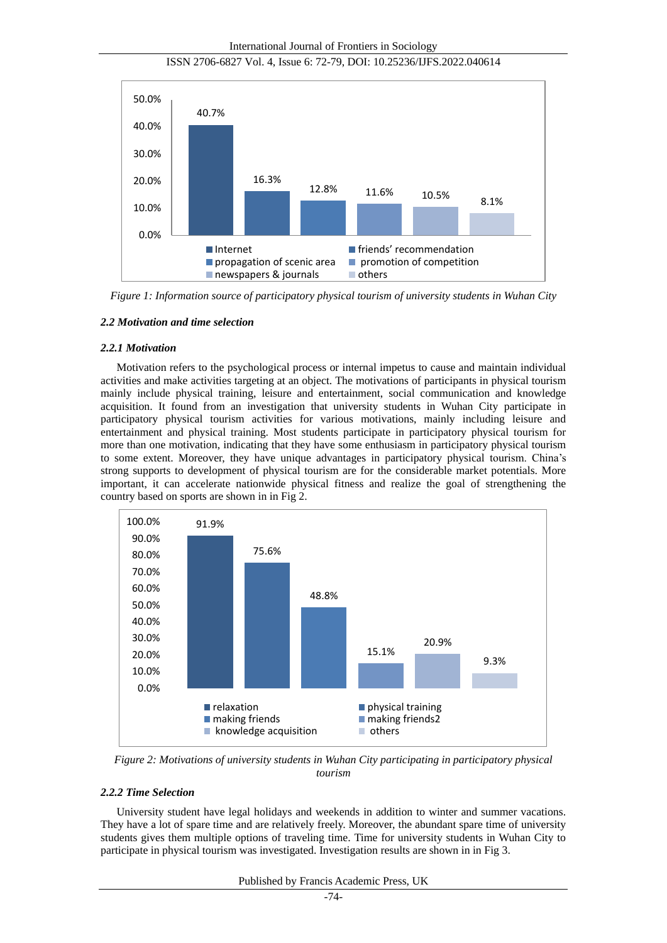International Journal of Frontiers in Sociology





*Figure 1: Information source of participatory physical tourism of university students in Wuhan City*

#### *2.2 Motivation and time selection*

#### *2.2.1 Motivation*

Motivation refers to the psychological process or internal impetus to cause and maintain individual activities and make activities targeting at an object. The motivations of participants in physical tourism mainly include physical training, leisure and entertainment, social communication and knowledge acquisition. It found from an investigation that university students in Wuhan City participate in participatory physical tourism activities for various motivations, mainly including leisure and entertainment and physical training. Most students participate in participatory physical tourism for more than one motivation, indicating that they have some enthusiasm in participatory physical tourism to some extent. Moreover, they have unique advantages in participatory physical tourism. China's strong supports to development of physical tourism are for the considerable market potentials. More important, it can accelerate nationwide physical fitness and realize the goal of strengthening the country based on sports are shown in in Fig 2.



*Figure 2: Motivations of university students in Wuhan City participating in participatory physical tourism*

## *2.2.2 Time Selection*

University student have legal holidays and weekends in addition to winter and summer vacations. They have a lot of spare time and are relatively freely. Moreover, the abundant spare time of university students gives them multiple options of traveling time. Time for university students in Wuhan City to participate in physical tourism was investigated. Investigation results are shown in in Fig 3.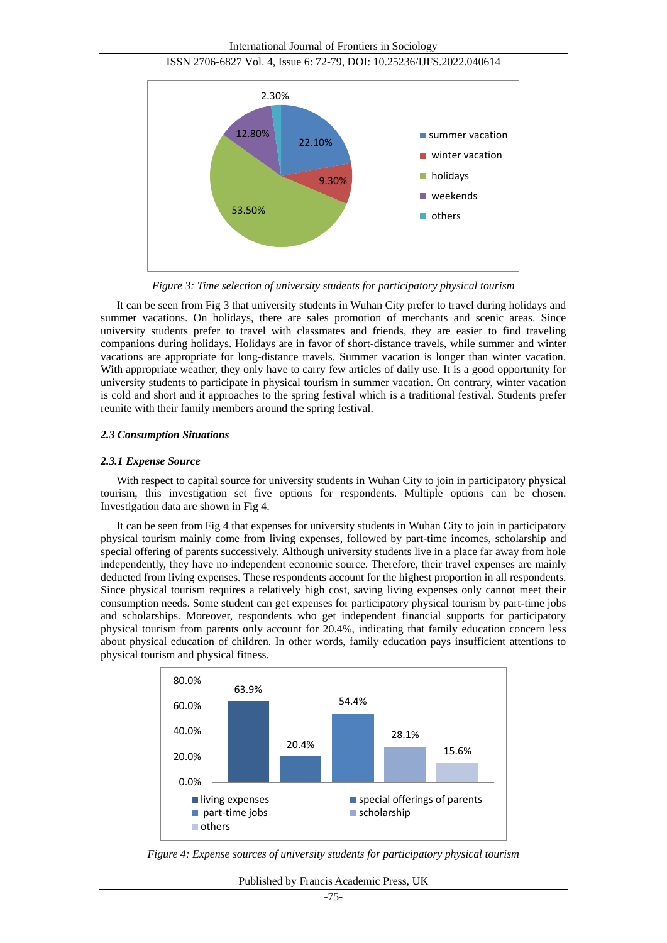



*Figure 3: Time selection of university students for participatory physical tourism*

It can be seen from Fig 3 that university students in Wuhan City prefer to travel during holidays and summer vacations. On holidays, there are sales promotion of merchants and scenic areas. Since university students prefer to travel with classmates and friends, they are easier to find traveling companions during holidays. Holidays are in favor of short-distance travels, while summer and winter vacations are appropriate for long-distance travels. Summer vacation is longer than winter vacation. With appropriate weather, they only have to carry few articles of daily use. It is a good opportunity for university students to participate in physical tourism in summer vacation. On contrary, winter vacation is cold and short and it approaches to the spring festival which is a traditional festival. Students prefer reunite with their family members around the spring festival.

#### *2.3 Consumption Situations*

#### *2.3.1 Expense Source*

With respect to capital source for university students in Wuhan City to join in participatory physical tourism, this investigation set five options for respondents. Multiple options can be chosen. Investigation data are shown in Fig 4.

It can be seen from Fig 4 that expenses for university students in Wuhan City to join in participatory physical tourism mainly come from living expenses, followed by part-time incomes, scholarship and special offering of parents successively. Although university students live in a place far away from hole independently, they have no independent economic source. Therefore, their travel expenses are mainly deducted from living expenses. These respondents account for the highest proportion in all respondents. Since physical tourism requires a relatively high cost, saving living expenses only cannot meet their consumption needs. Some student can get expenses for participatory physical tourism by part-time jobs and scholarships. Moreover, respondents who get independent financial supports for participatory physical tourism from parents only account for 20.4%, indicating that family education concern less about physical education of children. In other words, family education pays insufficient attentions to physical tourism and physical fitness.



*Figure 4: Expense sources of university students for participatory physical tourism*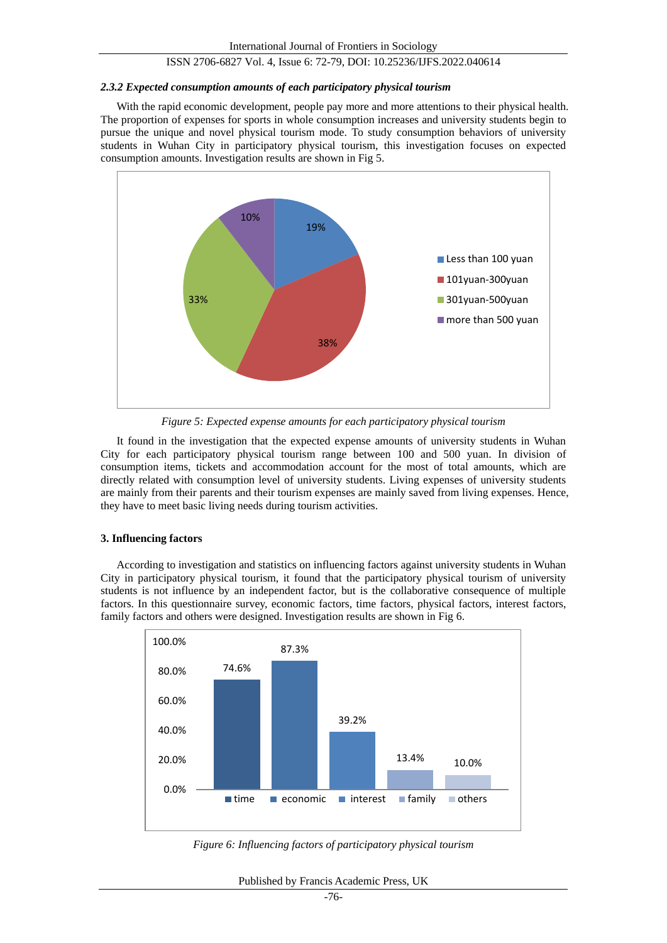#### *2.3.2 Expected consumption amounts of each participatory physical tourism*

With the rapid economic development, people pay more and more attentions to their physical health. The proportion of expenses for sports in whole consumption increases and university students begin to pursue the unique and novel physical tourism mode. To study consumption behaviors of university students in Wuhan City in participatory physical tourism, this investigation focuses on expected consumption amounts. Investigation results are shown in Fig 5.



*Figure 5: Expected expense amounts for each participatory physical tourism*

It found in the investigation that the expected expense amounts of university students in Wuhan City for each participatory physical tourism range between 100 and 500 yuan. In division of consumption items, tickets and accommodation account for the most of total amounts, which are directly related with consumption level of university students. Living expenses of university students are mainly from their parents and their tourism expenses are mainly saved from living expenses. Hence, they have to meet basic living needs during tourism activities.

## **3. Influencing factors**

According to investigation and statistics on influencing factors against university students in Wuhan City in participatory physical tourism, it found that the participatory physical tourism of university students is not influence by an independent factor, but is the collaborative consequence of multiple factors. In this questionnaire survey, economic factors, time factors, physical factors, interest factors, family factors and others were designed. Investigation results are shown in Fig 6.



*Figure 6: Influencing factors of participatory physical tourism*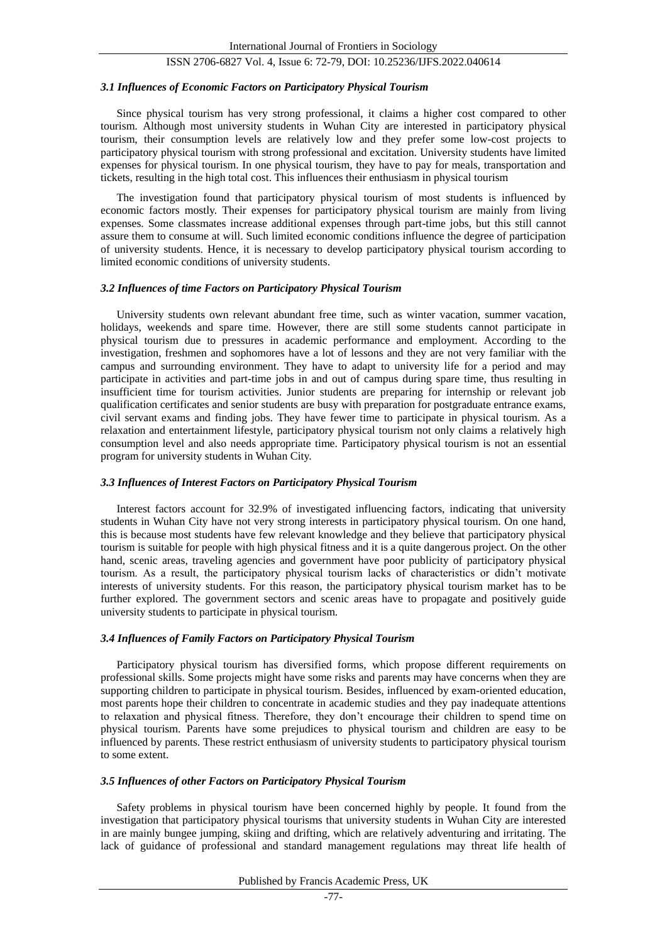#### *3.1 Influences of Economic Factors on Participatory Physical Tourism*

Since physical tourism has very strong professional, it claims a higher cost compared to other tourism. Although most university students in Wuhan City are interested in participatory physical tourism, their consumption levels are relatively low and they prefer some low-cost projects to participatory physical tourism with strong professional and excitation. University students have limited expenses for physical tourism. In one physical tourism, they have to pay for meals, transportation and tickets, resulting in the high total cost. This influences their enthusiasm in physical tourism

The investigation found that participatory physical tourism of most students is influenced by economic factors mostly. Their expenses for participatory physical tourism are mainly from living expenses. Some classmates increase additional expenses through part-time jobs, but this still cannot assure them to consume at will. Such limited economic conditions influence the degree of participation of university students. Hence, it is necessary to develop participatory physical tourism according to limited economic conditions of university students.

#### *3.2 Influences of time Factors on Participatory Physical Tourism*

University students own relevant abundant free time, such as winter vacation, summer vacation, holidays, weekends and spare time. However, there are still some students cannot participate in physical tourism due to pressures in academic performance and employment. According to the investigation, freshmen and sophomores have a lot of lessons and they are not very familiar with the campus and surrounding environment. They have to adapt to university life for a period and may participate in activities and part-time jobs in and out of campus during spare time, thus resulting in insufficient time for tourism activities. Junior students are preparing for internship or relevant job qualification certificates and senior students are busy with preparation for postgraduate entrance exams, civil servant exams and finding jobs. They have fewer time to participate in physical tourism. As a relaxation and entertainment lifestyle, participatory physical tourism not only claims a relatively high consumption level and also needs appropriate time. Participatory physical tourism is not an essential program for university students in Wuhan City.

## *3.3 Influences of Interest Factors on Participatory Physical Tourism*

Interest factors account for 32.9% of investigated influencing factors, indicating that university students in Wuhan City have not very strong interests in participatory physical tourism. On one hand, this is because most students have few relevant knowledge and they believe that participatory physical tourism is suitable for people with high physical fitness and it is a quite dangerous project. On the other hand, scenic areas, traveling agencies and government have poor publicity of participatory physical tourism. As a result, the participatory physical tourism lacks of characteristics or didn't motivate interests of university students. For this reason, the participatory physical tourism market has to be further explored. The government sectors and scenic areas have to propagate and positively guide university students to participate in physical tourism.

#### *3.4 Influences of Family Factors on Participatory Physical Tourism*

Participatory physical tourism has diversified forms, which propose different requirements on professional skills. Some projects might have some risks and parents may have concerns when they are supporting children to participate in physical tourism. Besides, influenced by exam-oriented education, most parents hope their children to concentrate in academic studies and they pay inadequate attentions to relaxation and physical fitness. Therefore, they don't encourage their children to spend time on physical tourism. Parents have some prejudices to physical tourism and children are easy to be influenced by parents. These restrict enthusiasm of university students to participatory physical tourism to some extent.

#### *3.5 Influences of other Factors on Participatory Physical Tourism*

Safety problems in physical tourism have been concerned highly by people. It found from the investigation that participatory physical tourisms that university students in Wuhan City are interested in are mainly bungee jumping, skiing and drifting, which are relatively adventuring and irritating. The lack of guidance of professional and standard management regulations may threat life health of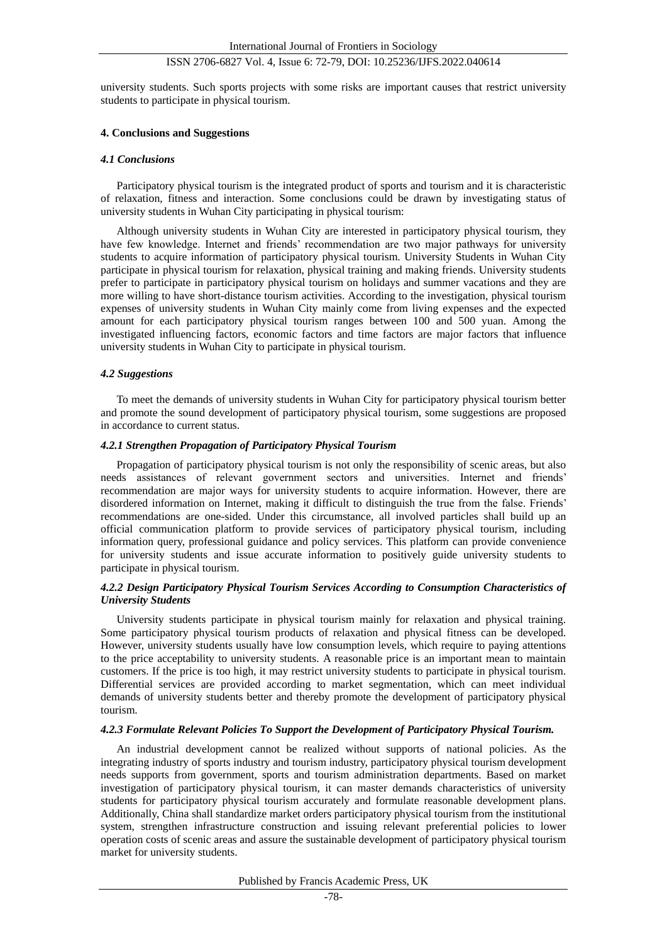university students. Such sports projects with some risks are important causes that restrict university students to participate in physical tourism.

#### **4. Conclusions and Suggestions**

#### *4.1 Conclusions*

Participatory physical tourism is the integrated product of sports and tourism and it is characteristic of relaxation, fitness and interaction. Some conclusions could be drawn by investigating status of university students in Wuhan City participating in physical tourism:

Although university students in Wuhan City are interested in participatory physical tourism, they have few knowledge. Internet and friends' recommendation are two major pathways for university students to acquire information of participatory physical tourism. University Students in Wuhan City participate in physical tourism for relaxation, physical training and making friends. University students prefer to participate in participatory physical tourism on holidays and summer vacations and they are more willing to have short-distance tourism activities. According to the investigation, physical tourism expenses of university students in Wuhan City mainly come from living expenses and the expected amount for each participatory physical tourism ranges between 100 and 500 yuan. Among the investigated influencing factors, economic factors and time factors are major factors that influence university students in Wuhan City to participate in physical tourism.

#### *4.2 Suggestions*

To meet the demands of university students in Wuhan City for participatory physical tourism better and promote the sound development of participatory physical tourism, some suggestions are proposed in accordance to current status.

#### *4.2.1 Strengthen Propagation of Participatory Physical Tourism*

Propagation of participatory physical tourism is not only the responsibility of scenic areas, but also needs assistances of relevant government sectors and universities. Internet and friends' recommendation are major ways for university students to acquire information. However, there are disordered information on Internet, making it difficult to distinguish the true from the false. Friends' recommendations are one-sided. Under this circumstance, all involved particles shall build up an official communication platform to provide services of participatory physical tourism, including information query, professional guidance and policy services. This platform can provide convenience for university students and issue accurate information to positively guide university students to participate in physical tourism.

#### *4.2.2 Design Participatory Physical Tourism Services According to Consumption Characteristics of University Students*

University students participate in physical tourism mainly for relaxation and physical training. Some participatory physical tourism products of relaxation and physical fitness can be developed. However, university students usually have low consumption levels, which require to paying attentions to the price acceptability to university students. A reasonable price is an important mean to maintain customers. If the price is too high, it may restrict university students to participate in physical tourism. Differential services are provided according to market segmentation, which can meet individual demands of university students better and thereby promote the development of participatory physical tourism.

#### *4.2.3 Formulate Relevant Policies To Support the Development of Participatory Physical Tourism.*

An industrial development cannot be realized without supports of national policies. As the integrating industry of sports industry and tourism industry, participatory physical tourism development needs supports from government, sports and tourism administration departments. Based on market investigation of participatory physical tourism, it can master demands characteristics of university students for participatory physical tourism accurately and formulate reasonable development plans. Additionally, China shall standardize market orders participatory physical tourism from the institutional system, strengthen infrastructure construction and issuing relevant preferential policies to lower operation costs of scenic areas and assure the sustainable development of participatory physical tourism market for university students.